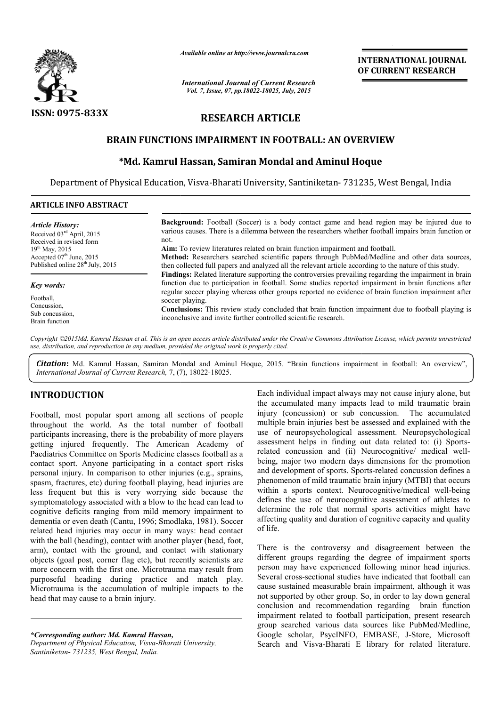

*Available online at http://www.journal http://www.journalcra.com*

*International Journal of Current Research Vol. 7, Issue, 07, pp.18022-18025, July, 2015*

**INTERNATIONAL JOURNAL OF CURRENT RESEARCH** 

# **RESEARCH ARTICLE**

# **BRAIN FUNCTIONS IMPAIRMENT IN FOOTBALL: AN OVERVIEW**

## **\*Md. Kamrul Hassan, Samiran Mondal and Aminul Hoque Md. Hassan, Samiran**

Department of Physical Education, Visva-Bharati University, Santiniketan- 731235, West Bengal, India

### **ARTICLE INFO ABSTRACT**

**Background:**  Football (Soccer) is a body contact game and head region may be injured due to various causes. There is a dilemma between the researchers whether football impairs brain function or not. **Aim:** To review literatures related on brain function impairment and football. **Method:**  Researchers searched scientific papers through PubMed/Medline and other data sources, then collected full papers and analyzed all the relevant article according to the nature of this study. **Findings:**  Related literature supporting the controversies prevailing regarding the impairment in brain function due to participation in football. Some studies reported impairment in brain functions after regular soccer playing whereas other groups reported no evidence of brain function impairment after soccer playing. **Conclusions:** This review study concluded that brain function impairment due to football playing is inconclusive and invite further controlled scientific research. *Article History:* Received 03rd April, 2015 Received in revised form 19<sup>th</sup> May, 2015 Accepted 07<sup>th</sup> June, 2015 Published online 28<sup>th</sup> July, 2015 *Key words:* Football, Concussion, Sub concussion, Brain function be the whether football impairs brain function or<br>the mma between the researchers whether football impairs brain function or<br>ated on brain function impairment and football.<br>Example of scientific papers through PubMed/Medli

*Copyright ©2015Md. Kamrul Hassan et al. This is an open access article distributed under the Creative Commons Att Attribution License, which ribution permits unrestricted use, distribution, and reproduction in any medium, provided the original work is properly cited.*

Citation: Md. Kamrul Hassan, Samiran Mondal and Aminul Hoque, 2015. "Brain functions impairment in football: An overview", International Journal of Current Research, 7, (7), 18022-18025.

### **INTRODUCTION**

Football, most popular sport among all sections of people throughout the world. As the total number of football participants increasing, there is the probability of more players getting injured frequently. The American Academy of Paediatries Committee on Sports Medicine classes football as a contact sport. Anyone participating in a contact sport risks personal injury. In comparison to other injuries (e.g., sprains, spasm, fractures, etc) during football playing, head injuries are Paediatries Committee on Sports Medicine classes football as a contact sport. Anyone participating in a contact sport risks personal injury. In comparison to other injuries (e.g., sprains, spasm, fractures, etc) during foo symptomatology associated with a blow to the head can lead to cognitive deficits ranging from mild memory impairment to dementia or even death (Cantu, 1996; Smodlaka, 1981). Soccer related head injuries may occur in many ways: head contact with the ball (heading), contact with another player (head, foot, arm), contact with the ground, and contact with stationary objects (goal post, corner flag etc), but recently scientists are more concern with the first one. Microtrauma may result from purposeful heading during practice and match play. Microtrauma is the accumulation of multiple impacts to the head that may cause to a brain injury.

*\*Corresponding author: Md. Kamrul Hassan,*

*Department of Physical Education, Visva-Bharati Bharati University, Santiniketan- 731235, West Bengal, India.*

Each individual impact always may not cause injury alone, but the accumulated many impacts lead to mild traumatic brain Each individual impact always may not cause injury alone, but the accumulated many impacts lead to mild traumatic brain injury (concussion) or sub concussion. The accumulated multiple brain injuries best be assessed and explained with the use of neuropsychological assessment. Neuropsychological assessment helps in finding out data related to: (i) Sports related concussion and (ii) Neurocognitive/ medical wellbeing, major two modern days dimensions for the promotion and development of sports. Sports Sports-related concussion defines a phenomenon of mild traumatic brain injury (MTBI) that occurs phenomenon of mild traumatic brain injury (MTBI) that occurs<br>within a sports context. Neurocognitive/medical well-being defines the use of neurocognitive assessment of athletes to determine the role that normal sports activities might have affecting quality and duration of cognitive capacity and quality of life. in injuries best be assessed and explained with the ropsychological assessment. Neuropsychological<br>helps in finding out data related to: (i) Sports-

There is the controversy and disagreement between the different groups regarding the degree of impairment sports person may have experienced following minor head injuries. Several cross-sectional studies have indicated that football can cause sustained measurable brain impairment, although it was not supported by other group. So, in order to lay down general conclusion and recommendation regarding brain function impairment related to football participation, present research group searched various data sources like PubMed/Medline, Google scholar, PsycINFO, EMBASE, J Search and Visva-Bharati E library for related literature. nine the role that normal sports activities might have<br>ng quality and duration of cognitive capacity and quality<br>is the controversy and disagreement between the<br>nt groups regarding the degree of impairment sports<br>in may ha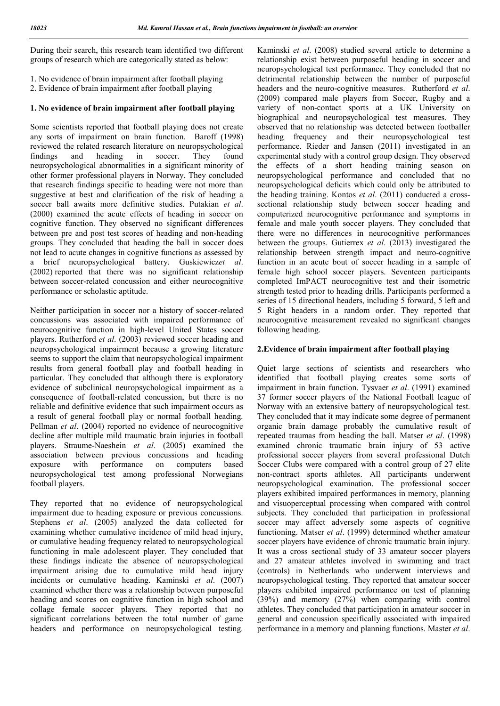During their search, this research team identified two different groups of research which are categorically stated as below:

- 1. No evidence of brain impairment after football playing
- 2. Evidence of brain impairment after football playing

### **1. No evidence of brain impairment after football playing**

Some scientists reported that football playing does not create any sorts of impairment on brain function. Baroff (1998) reviewed the related research literature on neuropsychological findings and heading in soccer. They found neuropsychological abnormalities in a significant minority of other former professional players in Norway. They concluded that research findings specific to heading were not more than suggestive at best and clarification of the risk of heading a soccer ball awaits more definitive studies. Putakian *et al*. (2000) examined the acute effects of heading in soccer on cognitive function. They observed no significant differences between pre and post test scores of heading and non-heading groups. They concluded that heading the ball in soccer does not lead to acute changes in cognitive functions as assessed by a brief neuropsychological battery. Guskiewicz*et al*. (2002) reported that there was no significant relationship between soccer-related concussion and either neurocognitive performance or scholastic aptitude.

Neither participation in soccer nor a history of soccer-related concussions was associated with impaired performance of neurocognitive function in high-level United States soccer players. Rutherford *et al*. (2003) reviewed soccer heading and neuropsychological impairment because a growing literature seems to support the claim that neuropsychological impairment results from general football play and football heading in particular. They concluded that although there is exploratory evidence of subclinical neuropsychological impairment as a consequence of football-related concussion, but there is no reliable and definitive evidence that such impairment occurs as a result of general football play or normal football heading. Pellman *et al*. (2004) reported no evidence of neurocognitive decline after multiple mild traumatic brain injuries in football players. Straume-Naeshein *et al*. (2005) examined the association between previous concussions and heading exposure with performance on computers based neuropsychological test among professional Norwegians football players.

They reported that no evidence of neuropsychological impairment due to heading exposure or previous concussions. Stephens *et al*. (2005) analyzed the data collected for examining whether cumulative incidence of mild head injury, or cumulative heading frequency related to neuropsychological functioning in male adolescent player. They concluded that these findings indicate the absence of neuropsychological impairment arising due to cumulative mild head injury incidents or cumulative heading. Kaminski *et al*. (2007) examined whether there was a relationship between purposeful heading and scores on cognitive function in high school and collage female soccer players. They reported that no significant correlations between the total number of game headers and performance on neuropsychological testing.

Kaminski *et al*. (2008) studied several article to determine a relationship exist between purposeful heading in soccer and neuropsychological test performance. They concluded that no detrimental relationship between the number of purposeful headers and the neuro-cognitive measures. Rutherford *et al*. (2009) compared male players from Soccer, Rugby and a variety of non-contact sports at a UK University on biographical and neuropsychological test measures. They observed that no relationship was detected between footballer heading frequency and their neuropsychological test performance. Rieder and Jansen (2011) investigated in an experimental study with a control group design. They observed the effects of a short heading training season on neuropsychological performance and concluded that no neuropsychological deficits which could only be attributed to the heading training. Kontos *et al*. (2011) conducted a crosssectional relationship study between soccer heading and computerized neurocognitive performance and symptoms in female and male youth soccer players. They concluded that there were no differences in neurocognitive performances between the groups. Gutierrex *et al*. (2013) investigated the relationship between strength impact and neuro-cognitive function in an acute bout of soccer heading in a sample of female high school soccer players. Seventeen participants completed ImPACT neurocognitive test and their isometric strength tested prior to heading drills. Participants performed a series of 15 directional headers, including 5 forward, 5 left and 5 Right headers in a random order. They reported that neurocognitive measurement revealed no significant changes following heading.

### **2.Evidence of brain impairment after football playing**

Quiet large sections of scientists and researchers who identified that football playing creates some sorts of impairment in brain function. Tysvaer *et al*. (1991) examined 37 former soccer players of the National Football league of Norway with an extensive battery of neuropsychological test. They concluded that it may indicate some degree of permanent organic brain damage probably the cumulative result of repeated traumas from heading the ball. Matser *et al*. (1998) examined chronic traumatic brain injury of 53 active professional soccer players from several professional Dutch Soccer Clubs were compared with a control group of 27 elite non-contract sports athletes. All participants underwent neuropsychological examination. The professional soccer players exhibited impaired performances in memory, planning and visuoperceptual processing when compared with control subjects. They concluded that participation in professional soccer may affect adversely some aspects of cognitive functioning. Matser *et al*. (1999) determined whether amateur soccer players have evidence of chronic traumatic brain injury. It was a cross sectional study of 33 amateur soccer players and 27 amateur athletes involved in swimming and tract (controls) in Netherlands who underwent interviews and neuropsychological testing. They reported that amateur soccer players exhibited impaired performance on test of planning (39%) and memory (27%) when comparing with control athletes. They concluded that participation in amateur soccer in general and concussion specifically associated with impaired performance in a memory and planning functions. Master *et al*.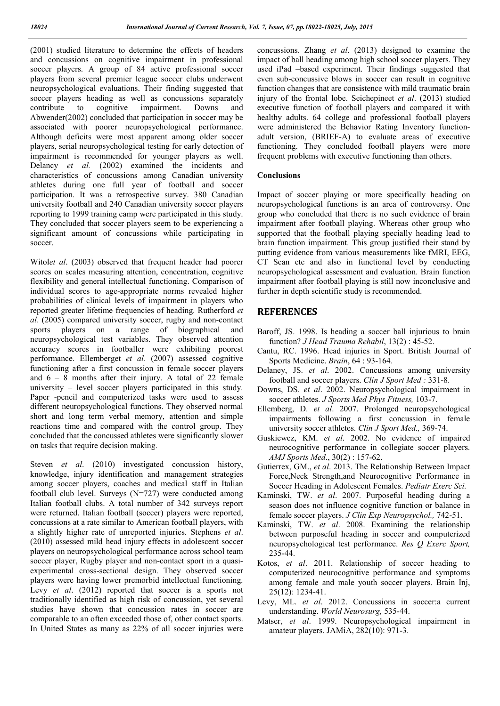(2001) studied literature to determine the effects of headers and concussions on cognitive impairment in professional soccer players. A group of 84 active professional soccer players from several premier league soccer clubs underwent neuropsychological evaluations. Their finding suggested that soccer players heading as well as concussions separately contribute to cognitive impairment. Downs and Abwender(2002) concluded that participation in soccer may be associated with poorer neuropsychological performance. Although deficits were most apparent among older soccer players, serial neuropsychological testing for early detection of impairment is recommended for younger players as well. Delancy *et al.* (2002) examined the incidents and characteristics of concussions among Canadian university athletes during one full year of football and soccer participation. It was a retrospective survey. 380 Canadian university football and 240 Canadian university soccer players reporting to 1999 training camp were participated in this study. They concluded that soccer players seem to be experiencing a significant amount of concussions while participating in soccer.

Witol*et al*. (2003) observed that frequent header had poorer scores on scales measuring attention, concentration, cognitive flexibility and general intellectual functioning. Comparison of individual scores to age-appropriate norms revealed higher probabilities of clinical levels of impairment in players who reported greater lifetime frequencies of heading. Rutherford *et al*. (2005) compared university soccer, rugby and non-contact sports players on a range of biographical and neuropsychological test variables. They observed attention accuracy scores in footballer were exhibiting poorest performance. Ellemberget *et al*. (2007) assessed cognitive functioning after a first concussion in female soccer players and  $6 - 8$  months after their injury. A total of 22 female university – level soccer players participated in this study. Paper -pencil and computerized tasks were used to assess different neuropsychological functions. They observed normal short and long term verbal memory, attention and simple reactions time and compared with the control group. They concluded that the concussed athletes were significantly slower on tasks that require decision making.

Steven *et al.* (2010) investigated concussion history, knowledge, injury identification and management strategies among soccer players, coaches and medical staff in Italian football club level. Surveys (N=727) were conducted among Italian football clubs. A total number of 342 surveys report were returned. Italian football (soccer) players were reported, concussions at a rate similar to American football players, with a slightly higher rate of unreported injuries. Stephens *et al*. (2010) assessed mild head injury effects in adolescent soccer players on neuropsychological performance across school team soccer player, Rugby player and non-contact sport in a quasiexperimental cross-sectional design. They observed soccer players were having lower premorbid intellectual functioning. Levy *et al.* (2012) reported that soccer is a sports not traditionally identified as high risk of concussion, yet several studies have shown that concussion rates in soccer are comparable to an often exceeded those of, other contact sports. In United States as many as 22% of all soccer injuries were concussions. Zhang *et al*. (2013) designed to examine the impact of ball heading among high school soccer players. They used iPad –based experiment. Their findings suggested that even sub-concussive blows in soccer can result in cognitive function changes that are consistence with mild traumatic brain injury of the frontal lobe. Seichepineet *et al*. (2013) studied executive function of football players and compared it with healthy adults. 64 college and professional football players were administered the Behavior Rating Inventory functionadult version, (BRIEF-A) to evaluate areas of executive functioning. They concluded football players were more frequent problems with executive functioning than others.

### **Conclusions**

Impact of soccer playing or more specifically heading on neuropsychological functions is an area of controversy. One group who concluded that there is no such evidence of brain impairment after football playing. Whereas other group who supported that the football playing specially heading lead to brain function impairment. This group justified their stand by putting evidence from various measurements like fMRI, EEG, CT Scan etc and also in functional level by conducting neuropsychological assessment and evaluation. Brain function impairment after football playing is still now inconclusive and further in depth scientific study is recommended.

### **REFERENCES**

- Baroff, JS. 1998. Is heading a soccer ball injurious to brain function? *J Head Trauma Rehabil*, 13(2) : 45-52.
- Cantu, RC. 1996. Head injuries in Sport. British Journal of Sports Medicine. *Brain*, 64 : 93-164.
- Delaney, JS. *et al*. 2002. Concussions among university football and soccer players. *Clin J Sport Med :* 331-8.
- Downs, DS. *et al*. 2002. Neuropsychological impairment in soccer athletes. *J Sports Med Phys Fitness,* 103-7.
- Ellemberg, D. *et al*. 2007. Prolonged neuropsychological impairments following a first concussion in female university soccer athletes. *Clin J Sport Med.,* 369-74.
- Guskiewcz, KM. *et al*. 2002. No evidence of impaired neurocognitive performance in collegiate soccer players. *AMJ Sports Med*., 30(2) : 157-62.
- Gutierrex, GM., *et al*. 2013. The Relationship Between Impact Force,Neck Strength,and Neurocognitive Performance in Soccer Heading in Adolescent Females. *Pediatr Exerc Sci.*
- Kaminski, TW. *et al*. 2007. Purposeful heading during a season does not influence cognitive function or balance in female soccer players. *J Clin Exp Neuropsychol.,* 742-51.
- Kaminski, TW. *et al*. 2008. Examining the relationship between purposeful heading in soccer and computerized neuropsychological test performance. *Res Q Exerc Sport,* 235-44.
- Kotos, *et al*. 2011. Relationship of soccer heading to computerized neurocognitive performance and symptoms among female and male youth soccer players. Brain Inj, 25(12): 1234-41.
- Levy, ML. *et al*. 2012. Concussions in soccer:a current understanding. *World Neurosurg,* 535-44.
- Matser, *et al*. 1999. Neuropsychological impairment in amateur players. JAMiA, 282(10): 971-3.